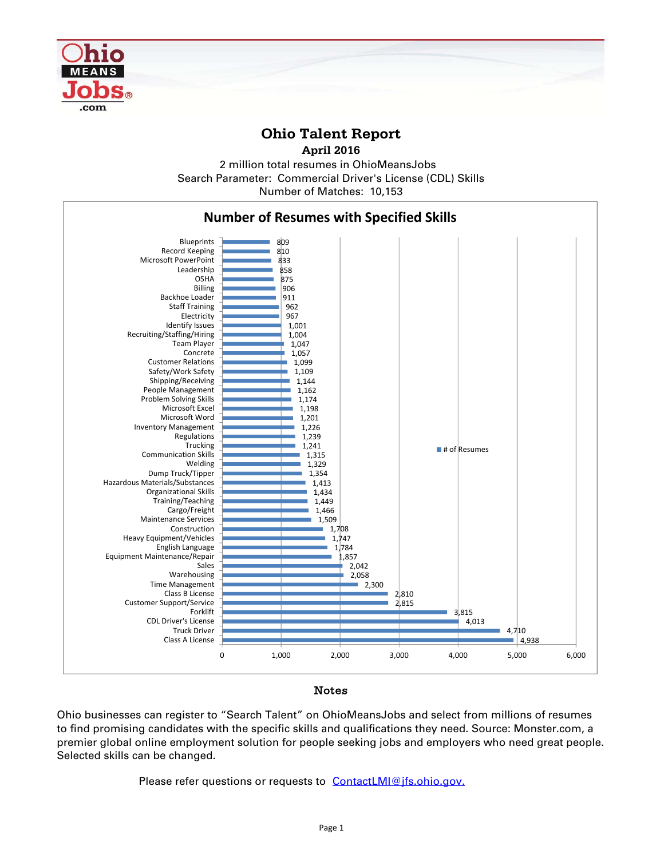

## **Ohio Talent Report**

**April 2016**

2 million total resumes in OhioMeansJobs Number of Matches: 10,153 Search Parameter: Commercial Driver's License (CDL) Skills



## Notes

Ohio businesses can register to "Search Talent" on OhioMeansJobs and select from millions of resumes to find promising candidates with the specific skills and qualifications they need. Source: Monster.com, a premier global online employment solution for people seeking jobs and employers who need great people. Selected skills can be changed.

Please refer questions or requests to ContactLMI@jfs.ohio.gov.